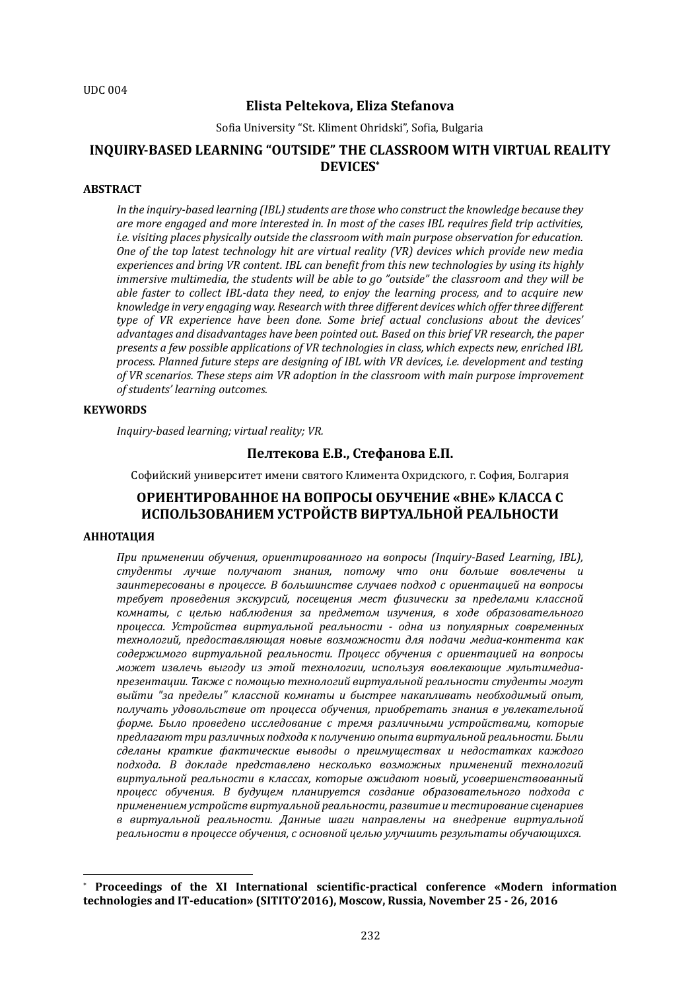# **Elista Peltekova, Eliza Stefanova**

Sofia University "St. Kliment Ohridski", Sofia, Bulgaria

# **INQUIRY-BASED LEARNING "OUTSIDE" THE CLASSROOM WITH VIRTUAL REALITY DEVICES\***

# **ABSTRACT**

In the inquiry-based learning (IBL) students are those who construct the knowledge because they are more engaged and more interested in. In most of the cases IBL requires field trip activities, *i.e.* visiting places physically outside the classroom with main purpose observation for education. *One* of the top latest technology hit are virtual reality (VR) devices which provide new media experiences and bring VR content. IBL can benefit from this new technologies by using its highly *immersive multimedia, the students will be able to go "outside" the classroom and they will be able faster to collect IBL-data they need, to enjoy the learning process, and to acquire new* knowledge in very engaging way. Research with three different devices which offer three different *type* of VR experience have been done. Some brief actual conclusions about the devices' advantages and disadvantages have been pointed out. Based on this brief VR research, the paper *presents a few possible applications of VR technologies in class, which expects new, enriched IBL* process. Planned future steps are designing of IBL with VR devices, i.e. development and testing of VR scenarios. These steps aim VR adoption in the classroom with main purpose improvement *of students' learning outcomes.*

#### **KEYWORDS**

*Inquiry-based learning; virtual reality; VR.* 

## **Пелтекова Е.В., Стефанова Е.П.**

Софийский университет имени святого Климента Охридского, г. София, Болгария

# **ОРИЕНТИРОВАННОЕ НА ВОПРОСЫ ОБУЧЕНИЕ «ВНЕ» КЛАССА С ИСПОЛЬЗОВАНИЕМ УСТРОЙСТВ ВИРТУАЛЬНОЙ РЕАЛЬНОСТИ**

## **АННОТАЦИЯ**

 $\overline{a}$ 

При применении обучения, ориентированного на вопросы (Inquiry-Based Learning, IBL), *студенты лучше получают знания, потому что они больше вовлечены и*  заинтересованы в процессе. В большинстве случаев подход с ориентацией на вопросы *требует проведения экскурсий, посещения мест физически за пределами классной комнаты, с целью наблюдения за предметом изучения, в ходе образовательного процесса. Устройства виртуальной реальности - одна из популярных современных*  технологий, предоставляющая новые возможности для подачи медиа-контента как *содержимого виртуальной реальности. Процесс обучения с ориентацией на вопросы может извлечь выгоду из этой технологии, используя вовлекающие мультимедиа*презентации. Также с помощью технологий виртуальной реальности студенты могут выйти "за пределы" классной комнаты и быстрее накапливать необходимый опыт, получать удовольствие от процесса обучения, приобретать знания в увлекательной форме. Было проведено исследование с тремя различными устройствами, которые *предлагают три различных подхода к получению опыта виртуальной реальности. Были сделаны краткие фактические выводы о преимуществах и недостатках каждого*  подхода. В докладе представлено несколько возможных применений технологий виртуальной реальности в классах, которые ожидают новый, усовершенствованный *процесс обучения. В будущем планируется создание образовательного подхода с применением устройств виртуальной реальности, развитие и тестирование сценариев*  в виртуальной реальности. Данные шаги направлены на внедрение виртуальной реальности в процессе обучения, с основной целью улучшить результаты обучающихся.

<sup>\*</sup> **Proceedings of the XI International scientific-practical conference «Modern information technologies and IT-education» (SITITO'2016), Moscow, Russia, November 25 - 26, 2016**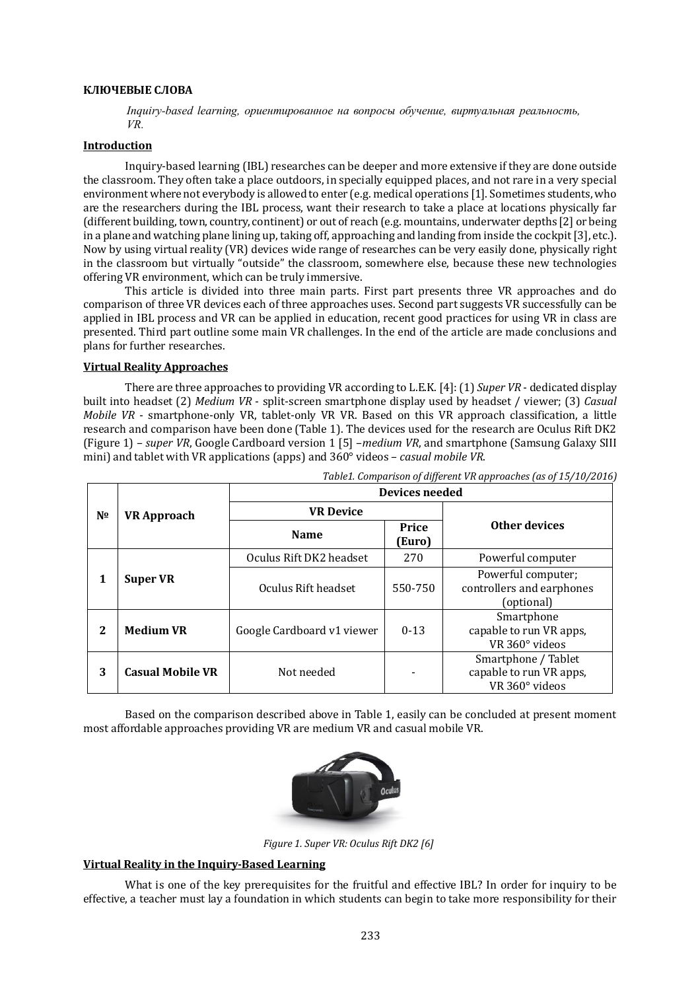#### **КЛЮЧЕВЫЕ СЛОВА**

*Inquiry-based learning, ориентированное на вопросы обучение, виртуальная реальность, VR.*

#### **Introduction**

Inquiry-based learning (IBL) researches can be deeper and more extensive if they are done outside the classroom. They often take a place outdoors, in specially equipped places, and not rare in a very special environment where not everybody is allowed to enter (e.g. medical operations [1]. Sometimes students, who are the researchers during the IBL process, want their research to take a place at locations physically far (different building, town, country, continent) or out of reach (e.g. mountains, underwater depths [2] or being in a plane and watching plane lining up, taking off, approaching and landing from inside the cockpit [3], etc.). Now by using virtual reality (VR) devices wide range of researches can be very easily done, physically right in the classroom but virtually "outside" the classroom, somewhere else, because these new technologies offering VR environment, which can be truly immersive.

This article is divided into three main parts. First part presents three VR approaches and do comparison of three VR devices each of three approaches uses. Second part suggests VR successfully can be applied in IBL process and VR can be applied in education, recent good practices for using VR in class are presented. Third part outline some main VR challenges. In the end of the article are made conclusions and plans for further researches.

## **Virtual Reality Approaches**

There are three approaches to providing VR according to L.E.K. [4]: (1) *Super VR* - dedicated display built into headset (2) *Medium VR* - split-screen smartphone display used by headset / viewer; (3) *Casual Mobile VR* - smartphone-only VR, tablet-only VR VR. Based on this VR approach classification, a little research and comparison have been done (Table 1). The devices used for the research are Oculus Rift DK2 (Figure 1) – *super VR*, Google Cardboard version 1 [5] –*medium VR*, and smartphone (Samsung Galaxy SIII mini) and tablet with VR applications (apps) and  $360^{\circ}$  videos – *casual mobile VR*.

| Nº           | <b>VR Approach</b>      | $\frac{1}{2}$ $\frac{1}{2}$ , $\frac{1}{2}$ , $\frac{1}{2}$ , $\frac{1}{2}$ , $\frac{1}{2}$ , $\frac{1}{2}$ , $\frac{1}{2}$<br><b>Devices needed</b> |                |                                                                  |
|--------------|-------------------------|------------------------------------------------------------------------------------------------------------------------------------------------------|----------------|------------------------------------------------------------------|
|              |                         | <b>VR</b> Device                                                                                                                                     |                |                                                                  |
|              |                         | <b>Name</b>                                                                                                                                          | Price<br>[Euro | Other devices                                                    |
| 1            | <b>Super VR</b>         | Oculus Rift DK2 headset                                                                                                                              | 270            | Powerful computer                                                |
|              |                         | Oculus Rift headset                                                                                                                                  | 550-750        | Powerful computer;<br>controllers and earphones<br>(optional)    |
| $\mathbf{2}$ | <b>Medium VR</b>        | Google Cardboard v1 viewer                                                                                                                           | $0 - 13$       | Smartphone<br>capable to run VR apps,<br>VR 360° videos          |
| 3            | <b>Casual Mobile VR</b> | Not needed                                                                                                                                           |                | Smartphone / Tablet<br>capable to run VR apps,<br>VR 360° videos |

*Table1. Comparison of different VR approaches (as of 15/10/2016)*

Based on the comparison described above in Table 1, easily can be concluded at present moment most affordable approaches providing VR are medium VR and casual mobile VR.



*Figure 1. Super VR: Oculus Rift DK2* [6]

## **Virtual Reality in the Inquiry-Based Learning**

What is one of the key prerequisites for the fruitful and effective IBL? In order for inquiry to be effective, a teacher must lay a foundation in which students can begin to take more responsibility for their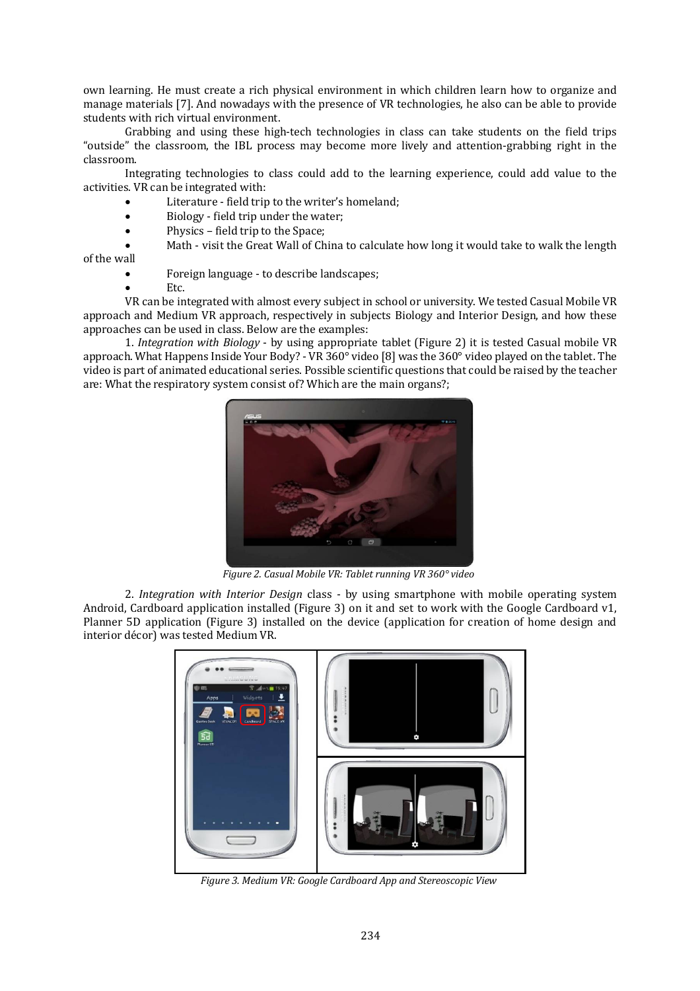own learning. He must create a rich physical environment in which children learn how to organize and manage materials [7]. And nowadays with the presence of VR technologies, he also can be able to provide students with rich virtual environment.

Grabbing and using these high-tech technologies in class can take students on the field trips "outside" the classroom, the IBL process may become more lively and attention-grabbing right in the classroom.

Integrating technologies to class could add to the learning experience, could add value to the activities. VR can be integrated with:

- Literature field trip to the writer's homeland;
- Biology field trip under the water:
- Physics field trip to the Space;

 Math - visit the Great Wall of China to calculate how long it would take to walk the length of the wall

- Foreign language to describe landscapes;
- Etc.

VR can be integrated with almost every subject in school or university. We tested Casual Mobile VR approach and Medium VR approach, respectively in subjects Biology and Interior Design, and how these approaches can be used in class. Below are the examples:

1. *Integration with Biology* - by using appropriate tablet (Figure 2) it is tested Casual mobile VR approach. What Happens Inside Your Body? - VR 360° video [8] was the 360° video played on the tablet. The video is part of animated educational series. Possible scientific questions that could be raised by the teacher are: What the respiratory system consist of? Which are the main organs?;



*Figure 2. Casual Mobile VR: Tablet running VR 360° video*

2. *Integration with Interior Design* class - by using smartphone with mobile operating system Android, Cardboard application installed (Figure 3) on it and set to work with the Google Cardboard v1, Planner 5D application (Figure 3) installed on the device (application for creation of home design and interior décor) was tested Medium VR.



*Figure 3. Medium VR: Google Cardboard App and Stereoscopic View*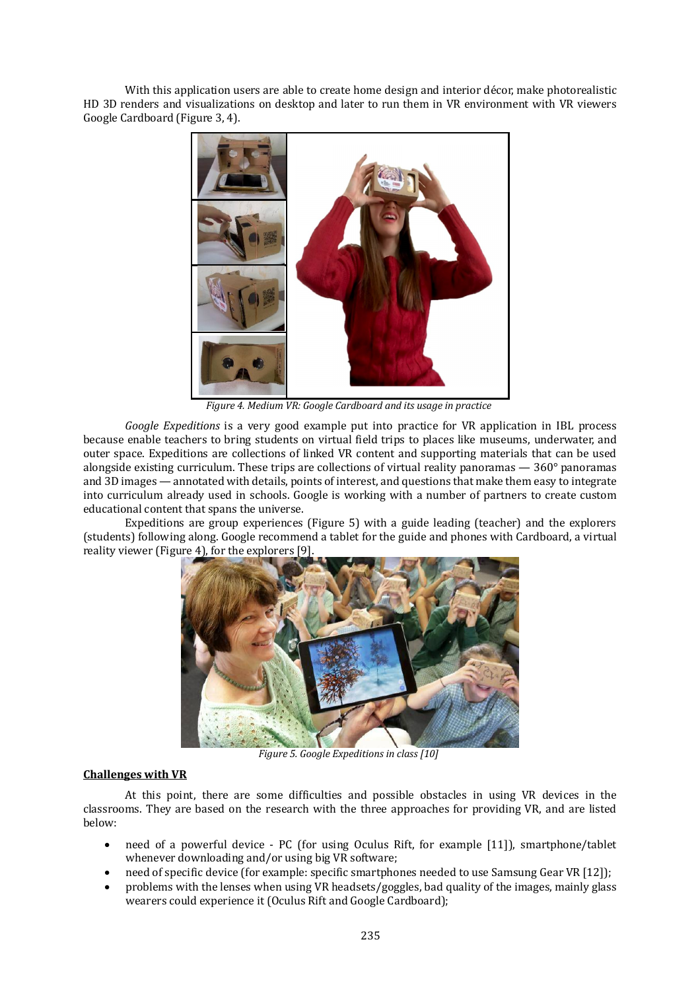With this application users are able to create home design and interior décor, make photorealistic HD 3D renders and visualizations on desktop and later to run them in VR environment with VR viewers Google Cardboard (Figure 3, 4).



*Figure 4. Medium VR: Google Cardboard and its usage in practice* 

*Google Expeditions*  is a very good example put into practice for VR application in IBL process because enable teachers to bring students on virtual field trips to places like museums, underwater, and outer space. Expeditions are collections of linked VR content and supporting materials that can be used alongside existing curriculum. These trips are collections of virtual reality panoramas  $-360^{\circ}$  panoramas and 3D images — annotated with details, points of interest, and questions that make them easy to integrate into curriculum already used in schools. Google is working with a number of partners to create custom educational content that spans the universe.

Expeditions are group experiences (Figure 5) with a guide leading (teacher) and the explorers (students) following along. Google recommend a tablet for the guide and phones with Cardboard, a virtual reality viewer (Figure 4), for the explorers [9].



**Figure 5. Google Expeditions in class [10]** 

# **Challenges with VR**

At this point, there are some difficulties and possible obstacles in using VR devices in the classrooms. They are based on the research with the three approaches for providing VR, and are listed below:

- need of a powerful device PC (for using Oculus Rift, for example [11]), smartphone/tablet whenever downloading and/or using big VR software;
- need of specific device (for example: specific smartphones needed to use Samsung Gear VR [12]);
- problems with the lenses when using VR headsets/goggles, bad quality of the images, mainly glass wearers could experience it (Oculus Rift and Google Cardboard);